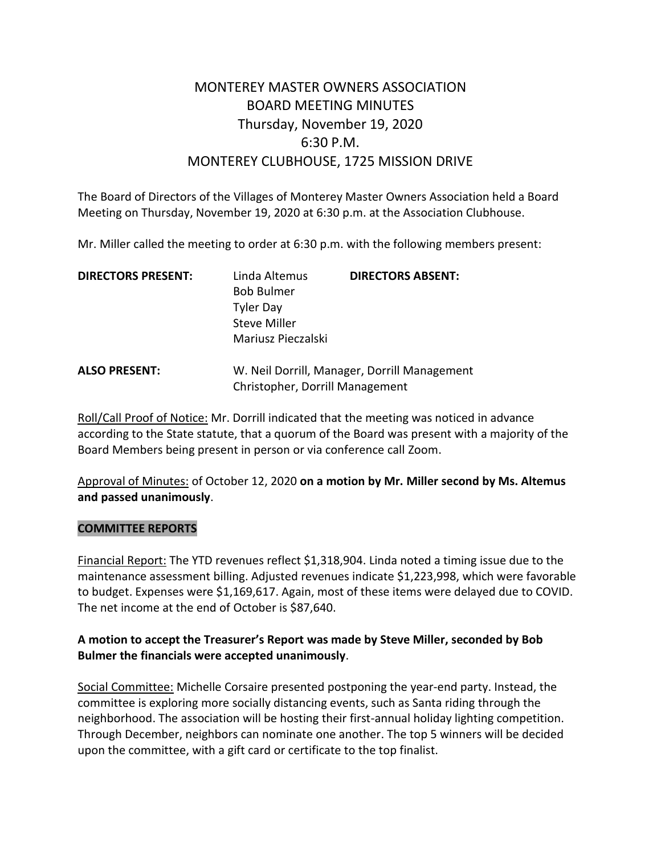# MONTEREY MASTER OWNERS ASSOCIATION BOARD MEETING MINUTES Thursday, November 19, 2020 6:30 P.M. MONTEREY CLUBHOUSE, 1725 MISSION DRIVE

The Board of Directors of the Villages of Monterey Master Owners Association held a Board Meeting on Thursday, November 19, 2020 at 6:30 p.m. at the Association Clubhouse.

Mr. Miller called the meeting to order at 6:30 p.m. with the following members present:

| <b>DIRECTORS PRESENT:</b> | Linda Altemus       | <b>DIRECTORS ABSENT:</b>                     |
|---------------------------|---------------------|----------------------------------------------|
|                           | <b>Bob Bulmer</b>   |                                              |
|                           | <b>Tyler Day</b>    |                                              |
|                           | <b>Steve Miller</b> |                                              |
|                           | Mariusz Pieczalski  |                                              |
| <b>ALSO PRESENT:</b>      |                     | W. Neil Dorrill, Manager, Dorrill Management |

Roll/Call Proof of Notice: Mr. Dorrill indicated that the meeting was noticed in advance according to the State statute, that a quorum of the Board was present with a majority of the Board Members being present in person or via conference call Zoom.

Christopher, Dorrill Management

Approval of Minutes: of October 12, 2020 **on a motion by Mr. Miller second by Ms. Altemus and passed unanimously**.

#### **COMMITTEE REPORTS**

Financial Report: The YTD revenues reflect \$1,318,904. Linda noted a timing issue due to the maintenance assessment billing. Adjusted revenues indicate \$1,223,998, which were favorable to budget. Expenses were \$1,169,617. Again, most of these items were delayed due to COVID. The net income at the end of October is \$87,640.

## **A motion to accept the Treasurer's Report was made by Steve Miller, seconded by Bob Bulmer the financials were accepted unanimously**.

Social Committee: Michelle Corsaire presented postponing the year-end party. Instead, the committee is exploring more socially distancing events, such as Santa riding through the neighborhood. The association will be hosting their first-annual holiday lighting competition. Through December, neighbors can nominate one another. The top 5 winners will be decided upon the committee, with a gift card or certificate to the top finalist.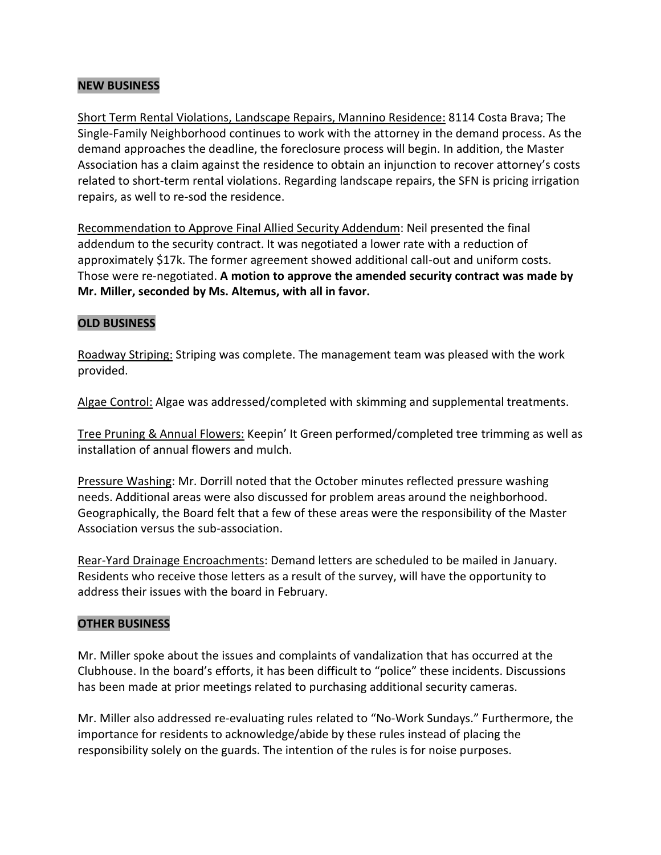## **NEW BUSINESS**

Short Term Rental Violations, Landscape Repairs, Mannino Residence: 8114 Costa Brava; The Single-Family Neighborhood continues to work with the attorney in the demand process. As the demand approaches the deadline, the foreclosure process will begin. In addition, the Master Association has a claim against the residence to obtain an injunction to recover attorney's costs related to short-term rental violations. Regarding landscape repairs, the SFN is pricing irrigation repairs, as well to re-sod the residence.

Recommendation to Approve Final Allied Security Addendum: Neil presented the final addendum to the security contract. It was negotiated a lower rate with a reduction of approximately \$17k. The former agreement showed additional call-out and uniform costs. Those were re-negotiated. **A motion to approve the amended security contract was made by Mr. Miller, seconded by Ms. Altemus, with all in favor.**

#### **OLD BUSINESS**

Roadway Striping: Striping was complete. The management team was pleased with the work provided.

Algae Control: Algae was addressed/completed with skimming and supplemental treatments.

Tree Pruning & Annual Flowers: Keepin' It Green performed/completed tree trimming as well as installation of annual flowers and mulch.

Pressure Washing: Mr. Dorrill noted that the October minutes reflected pressure washing needs. Additional areas were also discussed for problem areas around the neighborhood. Geographically, the Board felt that a few of these areas were the responsibility of the Master Association versus the sub-association.

Rear-Yard Drainage Encroachments: Demand letters are scheduled to be mailed in January. Residents who receive those letters as a result of the survey, will have the opportunity to address their issues with the board in February.

#### **OTHER BUSINESS**

Mr. Miller spoke about the issues and complaints of vandalization that has occurred at the Clubhouse. In the board's efforts, it has been difficult to "police" these incidents. Discussions has been made at prior meetings related to purchasing additional security cameras.

Mr. Miller also addressed re-evaluating rules related to "No-Work Sundays." Furthermore, the importance for residents to acknowledge/abide by these rules instead of placing the responsibility solely on the guards. The intention of the rules is for noise purposes.